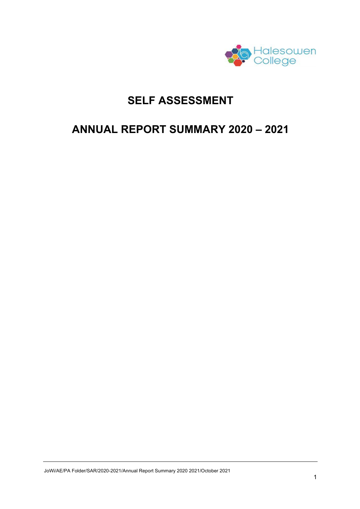

# **SELF ASSESSMENT**

# **ANNUAL REPORT SUMMARY 2020 – 2021**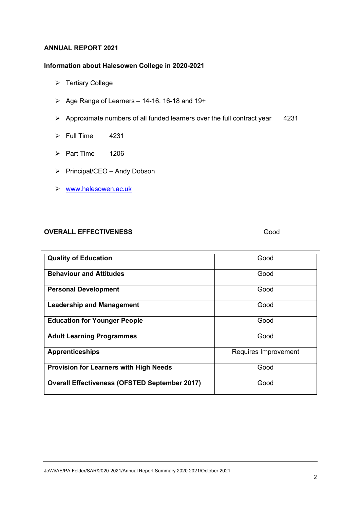#### **ANNUAL REPORT 2021**

## **Information about Halesowen College in 2020-2021**

- Ø Tertiary College
- $\triangleright$  Age Range of Learners 14-16, 16-18 and 19+
- $\triangleright$  Approximate numbers of all funded learners over the full contract year 4231
- $\triangleright$  Full Time 4231
- $\triangleright$  Part Time 1206
- Ø Principal/CEO Andy Dobson
- Ø www.halesowen.ac.uk

## **OVERALL EFFECTIVENESS** Good

| <b>Quality of Education</b>                          | Good                 |
|------------------------------------------------------|----------------------|
| <b>Behaviour and Attitudes</b>                       | Good                 |
| <b>Personal Development</b>                          | Good                 |
| <b>Leadership and Management</b>                     | Good                 |
| <b>Education for Younger People</b>                  | Good                 |
| <b>Adult Learning Programmes</b>                     | Good                 |
| <b>Apprenticeships</b>                               | Requires Improvement |
| <b>Provision for Learners with High Needs</b>        | Good                 |
| <b>Overall Effectiveness (OFSTED September 2017)</b> | Good                 |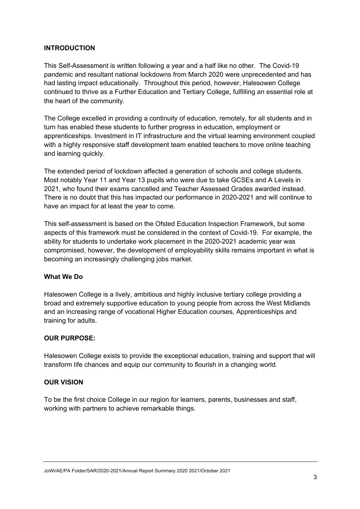## **INTRODUCTION**

This Self-Assessment is written following a year and a half like no other. The Covid-19 pandemic and resultant national lockdowns from March 2020 were unprecedented and has had lasting impact educationally. Throughout this period, however, Halesowen College continued to thrive as a Further Education and Tertiary College, fulfilling an essential role at the heart of the community.

The College excelled in providing a continuity of education, remotely, for all students and in turn has enabled these students to further progress in education, employment or apprenticeships. Investment in IT infrastructure and the virtual learning environment coupled with a highly responsive staff development team enabled teachers to move online teaching and learning quickly.

The extended period of lockdown affected a generation of schools and college students. Most notably Year 11 and Year 13 pupils who were due to take GCSEs and A Levels in 2021, who found their exams cancelled and Teacher Assessed Grades awarded instead. There is no doubt that this has impacted our performance in 2020-2021 and will continue to have an impact for at least the year to come.

This self-assessment is based on the Ofsted Education Inspection Framework, but some aspects of this framework must be considered in the context of Covid-19. For example, the ability for students to undertake work placement in the 2020-2021 academic year was compromised, however, the development of employability skills remains important in what is becoming an increasingly challenging jobs market.

## **What We Do**

Halesowen College is a lively, ambitious and highly inclusive tertiary college providing a broad and extremely supportive education to young people from across the West Midlands and an increasing range of vocational Higher Education courses, Apprenticeships and training for adults.

## **OUR PURPOSE:**

Halesowen College exists to provide the exceptional education, training and support that will transform life chances and equip our community to flourish in a changing world.

## **OUR VISION**

To be the first choice College in our region for learners, parents, businesses and staff, working with partners to achieve remarkable things.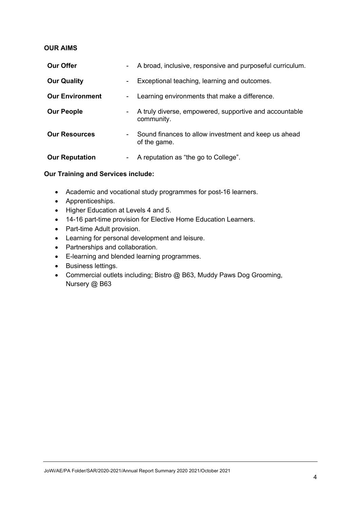## **OUR AIMS**

| <b>Our Offer</b>       |                  | - A broad, inclusive, responsive and purposeful curriculum.          |
|------------------------|------------------|----------------------------------------------------------------------|
| <b>Our Quality</b>     | $\blacksquare$   | Exceptional teaching, learning and outcomes.                         |
| <b>Our Environment</b> | ۰.               | Learning environments that make a difference.                        |
| <b>Our People</b>      | ۰.               | A truly diverse, empowered, supportive and accountable<br>community. |
| <b>Our Resources</b>   | $\sim$ 100 $\mu$ | Sound finances to allow investment and keep us ahead<br>of the game. |
| <b>Our Reputation</b>  |                  | A reputation as "the go to College".                                 |

## **Our Training and Services include:**

- Academic and vocational study programmes for post-16 learners.
- Apprenticeships.
- Higher Education at Levels 4 and 5.
- 14-16 part-time provision for Elective Home Education Learners.
- Part-time Adult provision.
- Learning for personal development and leisure.
- Partnerships and collaboration.
- E-learning and blended learning programmes.
- Business lettings.
- Commercial outlets including; Bistro @ B63, Muddy Paws Dog Grooming, Nursery @ B63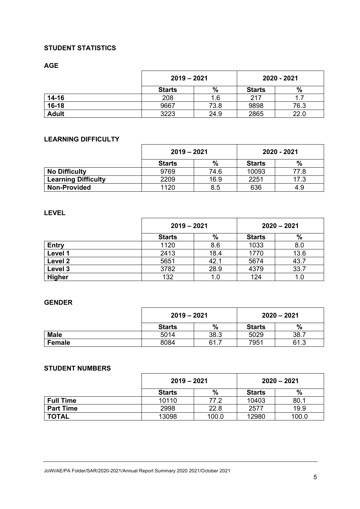## **STUDENT STATISTICS**

**AGE**

|              | $2019 - 2021$ |      | 2020 - 2021   |      |
|--------------|---------------|------|---------------|------|
|              | <b>Starts</b> | %    | <b>Starts</b> | %    |
| $14 - 16$    | 208           | 1.6  | 217           |      |
| $16-18$      | 9667          | 73.8 | 9898          | 76.3 |
| <b>Adult</b> | 3223          | 24.9 | 2865          | 22.0 |

## **LEARNING DIFFICULTY**

|                            | $2019 - 2021$ |      | 2020 - 2021   |      |
|----------------------------|---------------|------|---------------|------|
|                            | <b>Starts</b> | %    | <b>Starts</b> | %    |
| <b>No Difficulty</b>       | 9769          | 74.6 | 10093         | 77.8 |
| <b>Learning Difficulty</b> | 2209          | 16.9 | 2251          | 17.3 |
| <b>Non-Provided</b>        | 1120          | 8.5  | 636           | 4.9  |

## **LEVEL**

|               | $2019 - 2021$ |      | $2020 - 2021$ |      |
|---------------|---------------|------|---------------|------|
|               | <b>Starts</b> | $\%$ | <b>Starts</b> | $\%$ |
| <b>Entry</b>  | 1120          | 8.6  | 1033          | 8.0  |
| Level 1       | 2413          | 18.4 | 1770          | 13.6 |
| Level 2       | 5651          | 42.1 | 5674          | 43.7 |
| Level 3       | 3782          | 28.9 | 4379          | 33.7 |
| <b>Higher</b> | 132           | 1.0  | 124           | 1.0  |

## **GENDER**

|             | $2019 - 2021$ |      | $2020 - 2021$ |      |
|-------------|---------------|------|---------------|------|
|             | <b>Starts</b> | %    | <b>Starts</b> | %    |
| <b>Male</b> | 5014          | 38.3 | 5029          | 38.7 |
| Female      | 8084          | 61.7 | 7951          | 61.3 |

## **STUDENT NUMBERS**

|                  | $2019 - 2021$ |       | $2020 - 2021$ |               |
|------------------|---------------|-------|---------------|---------------|
|                  | <b>Starts</b> | %     | <b>Starts</b> | $\frac{0}{0}$ |
| <b>Full Time</b> | 10110         | 77.2  | 10403         | 80.1          |
| <b>Part Time</b> | 2998          | 22.8  | 2577          | 19.9          |
| <b>TOTAL</b>     | 13098         | 100.0 | 12980         | 100.0         |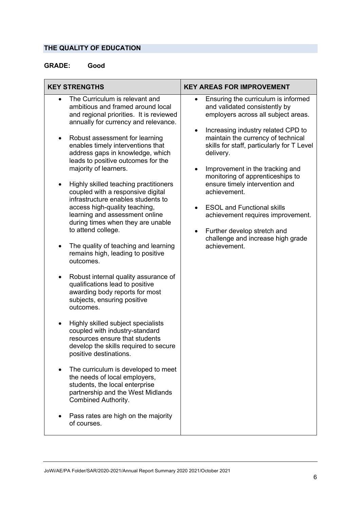# **THE QUALITY OF EDUCATION**

# **GRADE: Good**

|                                          | <b>KEY STRENGTHS</b>                                                                                                                                                                                                                                                                                                                                                                                                                                                                                                                                                                                                                                                                                                                                    | <b>KEY AREAS FOR IMPROVEMENT</b>                                                                                                                                                                                                                                                                                                                                                                                                                                                                                                                                                                           |
|------------------------------------------|---------------------------------------------------------------------------------------------------------------------------------------------------------------------------------------------------------------------------------------------------------------------------------------------------------------------------------------------------------------------------------------------------------------------------------------------------------------------------------------------------------------------------------------------------------------------------------------------------------------------------------------------------------------------------------------------------------------------------------------------------------|------------------------------------------------------------------------------------------------------------------------------------------------------------------------------------------------------------------------------------------------------------------------------------------------------------------------------------------------------------------------------------------------------------------------------------------------------------------------------------------------------------------------------------------------------------------------------------------------------------|
| $\bullet$<br>$\bullet$<br>٠<br>$\bullet$ | The Curriculum is relevant and<br>ambitious and framed around local<br>and regional priorities. It is reviewed<br>annually for currency and relevance.<br>Robust assessment for learning<br>enables timely interventions that<br>address gaps in knowledge, which<br>leads to positive outcomes for the<br>majority of learners.<br>Highly skilled teaching practitioners<br>coupled with a responsive digital<br>infrastructure enables students to<br>access high-quality teaching,<br>learning and assessment online<br>during times when they are unable<br>to attend college.<br>The quality of teaching and learning<br>remains high, leading to positive<br>outcomes.<br>Robust internal quality assurance of<br>qualifications lead to positive | Ensuring the curriculum is informed<br>$\bullet$<br>and validated consistently by<br>employers across all subject areas.<br>Increasing industry related CPD to<br>$\bullet$<br>maintain the currency of technical<br>skills for staff, particularly for T Level<br>delivery.<br>Improvement in the tracking and<br>$\bullet$<br>monitoring of apprenticeships to<br>ensure timely intervention and<br>achievement.<br><b>ESOL and Functional skills</b><br>$\bullet$<br>achievement requires improvement.<br>Further develop stretch and<br>$\bullet$<br>challenge and increase high grade<br>achievement. |
| $\bullet$                                | awarding body reports for most<br>subjects, ensuring positive<br>outcomes.<br>Highly skilled subject specialists<br>coupled with industry-standard<br>resources ensure that students<br>develop the skills required to secure<br>positive destinations.<br>The curriculum is developed to meet<br>the needs of local employers,<br>students, the local enterprise<br>partnership and the West Midlands<br><b>Combined Authority.</b><br>Pass rates are high on the majority<br>of courses.                                                                                                                                                                                                                                                              |                                                                                                                                                                                                                                                                                                                                                                                                                                                                                                                                                                                                            |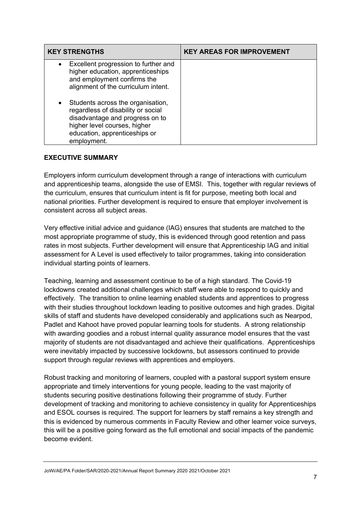| <b>KEY STRENGTHS</b>                                                                                                                                                                                    | <b>KEY AREAS FOR IMPROVEMENT</b> |
|---------------------------------------------------------------------------------------------------------------------------------------------------------------------------------------------------------|----------------------------------|
| Excellent progression to further and<br>$\bullet$<br>higher education, apprenticeships<br>and employment confirms the<br>alignment of the curriculum intent.                                            |                                  |
| Students across the organisation,<br>$\bullet$<br>regardless of disability or social<br>disadvantage and progress on to<br>higher level courses, higher<br>education, apprenticeships or<br>employment. |                                  |

## **EXECUTIVE SUMMARY**

Employers inform curriculum development through a range of interactions with curriculum and apprenticeship teams, alongside the use of EMSI. This, together with regular reviews of the curriculum, ensures that curriculum intent is fit for purpose, meeting both local and national priorities. Further development is required to ensure that employer involvement is consistent across all subject areas.

Very effective initial advice and guidance (IAG) ensures that students are matched to the most appropriate programme of study, this is evidenced through good retention and pass rates in most subjects. Further development will ensure that Apprenticeship IAG and initial assessment for A Level is used effectively to tailor programmes, taking into consideration individual starting points of learners.

Teaching, learning and assessment continue to be of a high standard. The Covid-19 lockdowns created additional challenges which staff were able to respond to quickly and effectively. The transition to online learning enabled students and apprentices to progress with their studies throughout lockdown leading to positive outcomes and high grades. Digital skills of staff and students have developed considerably and applications such as Nearpod, Padlet and Kahoot have proved popular learning tools for students. A strong relationship with awarding goodies and a robust internal quality assurance model ensures that the vast majority of students are not disadvantaged and achieve their qualifications. Apprenticeships were inevitably impacted by successive lockdowns, but assessors continued to provide support through regular reviews with apprentices and employers.

Robust tracking and monitoring of learners, coupled with a pastoral support system ensure appropriate and timely interventions for young people, leading to the vast majority of students securing positive destinations following their programme of study. Further development of tracking and monitoring to achieve consistency in quality for Apprenticeships and ESOL courses is required. The support for learners by staff remains a key strength and this is evidenced by numerous comments in Faculty Review and other learner voice surveys, this will be a positive going forward as the full emotional and social impacts of the pandemic become evident.

JoWi/AE/PA Folder/SAR/2020-2021/Annual Report Summary 2020 2021/October 2021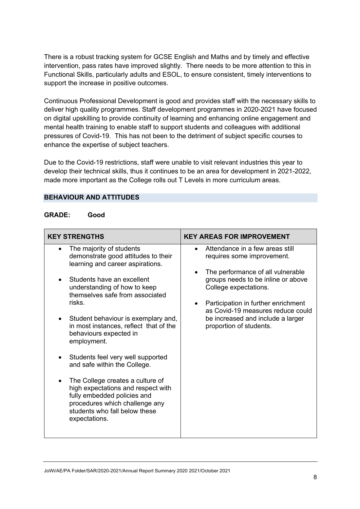There is a robust tracking system for GCSE English and Maths and by timely and effective intervention, pass rates have improved slightly. There needs to be more attention to this in Functional Skills, particularly adults and ESOL, to ensure consistent, timely interventions to support the increase in positive outcomes.

Continuous Professional Development is good and provides staff with the necessary skills to deliver high quality programmes. Staff development programmes in 2020-2021 have focused on digital upskilling to provide continuity of learning and enhancing online engagement and mental health training to enable staff to support students and colleagues with additional pressures of Covid-19. This has not been to the detriment of subject specific courses to enhance the expertise of subject teachers.

Due to the Covid-19 restrictions, staff were unable to visit relevant industries this year to develop their technical skills, thus it continues to be an area for development in 2021-2022, made more important as the College rolls out T Levels in more curriculum areas.

## **BEHAVIOUR AND ATTITUDES**

#### **GRADE: Good**

| <b>KEY STRENGTHS</b>                                                                                                                                                                                                                                                                                                                                                                                                                                                                                                                                                                                                         | <b>KEY AREAS FOR IMPROVEMENT</b>                                                                                                                                                                                                                                                                                                                     |
|------------------------------------------------------------------------------------------------------------------------------------------------------------------------------------------------------------------------------------------------------------------------------------------------------------------------------------------------------------------------------------------------------------------------------------------------------------------------------------------------------------------------------------------------------------------------------------------------------------------------------|------------------------------------------------------------------------------------------------------------------------------------------------------------------------------------------------------------------------------------------------------------------------------------------------------------------------------------------------------|
| The majority of students<br>$\bullet$<br>demonstrate good attitudes to their<br>learning and career aspirations.<br>Students have an excellent<br>understanding of how to keep<br>themselves safe from associated<br>risks.<br>Student behaviour is exemplary and,<br>٠<br>in most instances, reflect that of the<br>behaviours expected in<br>employment.<br>Students feel very well supported<br>and safe within the College.<br>The College creates a culture of<br>high expectations and respect with<br>fully embedded policies and<br>procedures which challenge any<br>students who fall below these<br>expectations. | Attendance in a few areas still<br>$\bullet$<br>requires some improvement.<br>The performance of all vulnerable<br>$\bullet$<br>groups needs to be inline or above<br>College expectations.<br>Participation in further enrichment<br>$\bullet$<br>as Covid-19 measures reduce could<br>be increased and include a larger<br>proportion of students. |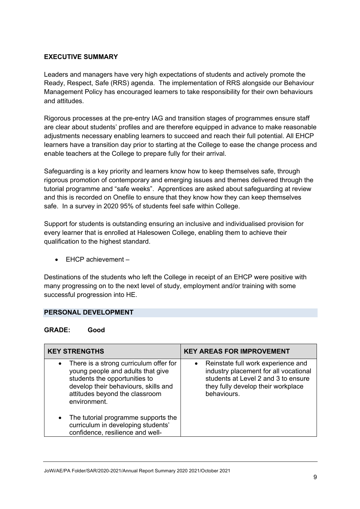## **EXECUTIVE SUMMARY**

Leaders and managers have very high expectations of students and actively promote the Ready, Respect, Safe (RRS) agenda. The implementation of RRS alongside our Behaviour Management Policy has encouraged learners to take responsibility for their own behaviours and attitudes.

Rigorous processes at the pre-entry IAG and transition stages of programmes ensure staff are clear about students' profiles and are therefore equipped in advance to make reasonable adjustments necessary enabling learners to succeed and reach their full potential. All EHCP learners have a transition day prior to starting at the College to ease the change process and enable teachers at the College to prepare fully for their arrival.

Safeguarding is a key priority and learners know how to keep themselves safe, through rigorous promotion of contemporary and emerging issues and themes delivered through the tutorial programme and "safe weeks". Apprentices are asked about safeguarding at review and this is recorded on Onefile to ensure that they know how they can keep themselves safe. In a survey in 2020 95% of students feel safe within College.

Support for students is outstanding ensuring an inclusive and individualised provision for every learner that is enrolled at Halesowen College, enabling them to achieve their qualification to the highest standard.

• EHCP achievement –

Destinations of the students who left the College in receipt of an EHCP were positive with many progressing on to the next level of study, employment and/or training with some successful progression into HE.

## **PERSONAL DEVELOPMENT**

## **GRADE: Good**

| <b>KEY STRENGTHS</b>                                                                                                                                                                                                | <b>KEY AREAS FOR IMPROVEMENT</b>                                                                                                                                                     |
|---------------------------------------------------------------------------------------------------------------------------------------------------------------------------------------------------------------------|--------------------------------------------------------------------------------------------------------------------------------------------------------------------------------------|
| There is a strong curriculum offer for<br>$\bullet$<br>young people and adults that give<br>students the opportunities to<br>develop their behaviours, skills and<br>attitudes beyond the classroom<br>environment. | Reinstate full work experience and<br>$\bullet$<br>industry placement for all vocational<br>students at Level 2 and 3 to ensure<br>they fully develop their workplace<br>behaviours. |
| The tutorial programme supports the<br>٠<br>curriculum in developing students'<br>confidence, resilience and well-                                                                                                  |                                                                                                                                                                                      |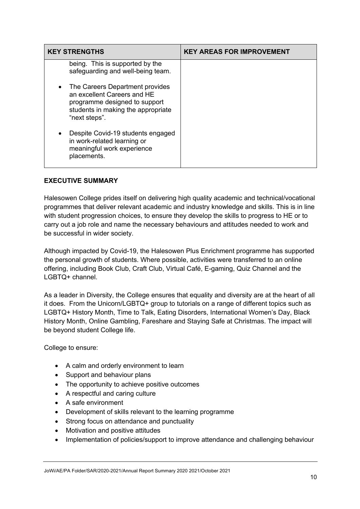| <b>KEY STRENGTHS</b>                                                                                                                                   | <b>KEY AREAS FOR IMPROVEMENT</b> |
|--------------------------------------------------------------------------------------------------------------------------------------------------------|----------------------------------|
| being. This is supported by the<br>safeguarding and well-being team.                                                                                   |                                  |
| The Careers Department provides<br>an excellent Careers and HE<br>programme designed to support<br>students in making the appropriate<br>"next steps". |                                  |
| Despite Covid-19 students engaged<br>in work-related learning or<br>meaningful work experience<br>placements.                                          |                                  |

## **EXECUTIVE SUMMARY**

Halesowen College prides itself on delivering high quality academic and technical/vocational programmes that deliver relevant academic and industry knowledge and skills. This is in line with student progression choices, to ensure they develop the skills to progress to HE or to carry out a job role and name the necessary behaviours and attitudes needed to work and be successful in wider society.

Although impacted by Covid-19, the Halesowen Plus Enrichment programme has supported the personal growth of students. Where possible, activities were transferred to an online offering, including Book Club, Craft Club, Virtual Café, E-gaming, Quiz Channel and the LGBTQ+ channel.

As a leader in Diversity, the College ensures that equality and diversity are at the heart of all it does. From the Unicorn/LGBTQ+ group to tutorials on a range of different topics such as LGBTQ+ History Month, Time to Talk, Eating Disorders, International Women's Day, Black History Month, Online Gambling, Fareshare and Staying Safe at Christmas. The impact will be beyond student College life.

College to ensure:

- A calm and orderly environment to learn
- Support and behaviour plans
- The opportunity to achieve positive outcomes
- A respectful and caring culture
- A safe environment
- Development of skills relevant to the learning programme
- Strong focus on attendance and punctuality
- Motivation and positive attitudes
- Implementation of policies/support to improve attendance and challenging behaviour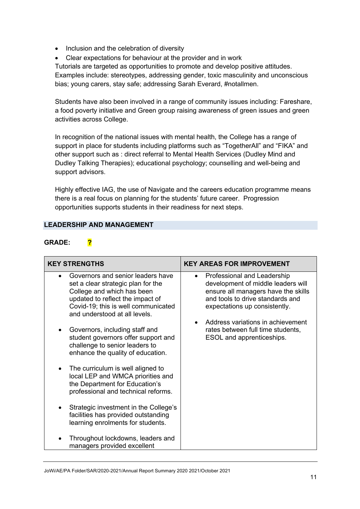- Inclusion and the celebration of diversity
- Clear expectations for behaviour at the provider and in work

Tutorials are targeted as opportunities to promote and develop positive attitudes. Examples include: stereotypes, addressing gender, toxic masculinity and unconscious bias; young carers, stay safe; addressing Sarah Everard, #notallmen.

Students have also been involved in a range of community issues including: Fareshare, a food poverty initiative and Green group raising awareness of green issues and green activities across College.

In recognition of the national issues with mental health, the College has a range of support in place for students including platforms such as "TogetherAll" and "FIKA" and other support such as : direct referral to Mental Health Services (Dudley Mind and Dudley Talking Therapies); educational psychology; counselling and well-being and support advisors.

Highly effective IAG, the use of Navigate and the careers education programme means there is a real focus on planning for the students' future career. Progression opportunities supports students in their readiness for next steps.

## **LEADERSHIP AND MANAGEMENT**

## **GRADE: ?**

| <b>KEY STRENGTHS</b>                                                                                                                                                                                              | <b>KEY AREAS FOR IMPROVEMENT</b>                                                                                                                                                           |
|-------------------------------------------------------------------------------------------------------------------------------------------------------------------------------------------------------------------|--------------------------------------------------------------------------------------------------------------------------------------------------------------------------------------------|
| Governors and senior leaders have<br>set a clear strategic plan for the<br>College and which has been<br>updated to reflect the impact of<br>Covid-19; this is well communicated<br>and understood at all levels. | Professional and Leadership<br>$\bullet$<br>development of middle leaders will<br>ensure all managers have the skills<br>and tools to drive standards and<br>expectations up consistently. |
| Governors, including staff and<br>student governors offer support and<br>challenge to senior leaders to<br>enhance the quality of education.                                                                      | Address variations in achievement<br>rates between full time students,<br>ESOL and apprenticeships.                                                                                        |
| The curriculum is well aligned to<br>٠<br>local LEP and WMCA priorities and<br>the Department for Education's<br>professional and technical reforms.                                                              |                                                                                                                                                                                            |
| Strategic investment in the College's<br>facilities has provided outstanding<br>learning enrolments for students.                                                                                                 |                                                                                                                                                                                            |
| Throughout lockdowns, leaders and<br>managers provided excellent                                                                                                                                                  |                                                                                                                                                                                            |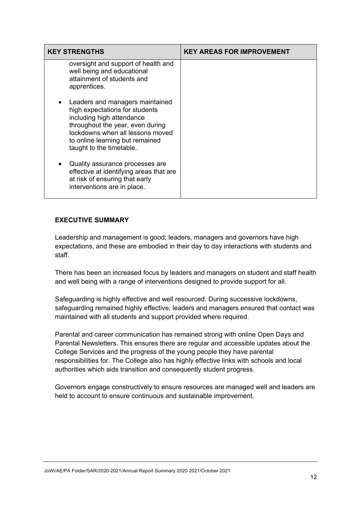| <b>KEY STRENGTHS</b>                                                                                                                                                                                                                               | <b>KEY AREAS FOR IMPROVEMENT</b> |
|----------------------------------------------------------------------------------------------------------------------------------------------------------------------------------------------------------------------------------------------------|----------------------------------|
| oversight and support of health and<br>well being and educational<br>attainment of students and<br>apprentices.                                                                                                                                    |                                  |
| Leaders and managers maintained<br>$\bullet$<br>high expectations for students<br>including high attendance<br>throughout the year, even during<br>lockdowns when all lessons moved<br>to online learning but remained<br>taught to the timetable. |                                  |
| Quality assurance processes are<br>٠<br>effective at identifying areas that are<br>at risk of ensuring that early<br>interventions are in place.                                                                                                   |                                  |

## **EXECUTIVE SUMMARY**

Leadership and management is good; leaders, managers and governors have high expectations, and these are embodied in their day to day interactions with students and staff.

There has been an increased focus by leaders and managers on student and staff health and well being with a range of interventions designed to provide support for all.

Safeguarding is highly effective and well resourced. During successive lockdowns, safeguarding remained highly effective; leaders and managers ensured that contact was maintained with all students and support provided where required.

Parental and career communication has remained strong with online Open Days and Parental Newsletters. This ensures there are regular and accessible updates about the College Services and the progress of the young people they have parental responsibilities for. The College also has highly effective links with schools and local authorities which aids transition and consequently student progress.

Governors engage constructively to ensure resources are managed well and leaders are held to account to ensure continuous and sustainable improvement.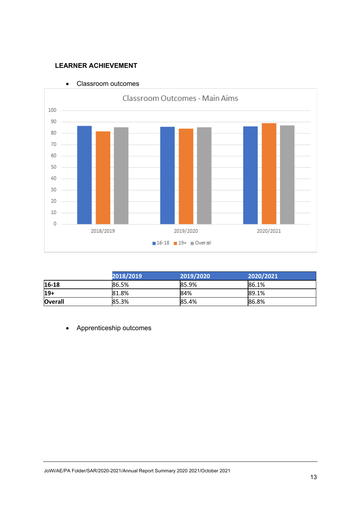## **LEARNER ACHIEVEMENT**



• Classroom outcomes

|                | 2018/2019 | 2019/2020 | 2020/2021 |
|----------------|-----------|-----------|-----------|
| 16-18          | 86.5%     | 85.9%     | 86.1%     |
| $19+$          | 81.8%     | 84%       | 89.1%     |
| <b>Overall</b> | 85.3%     | 85.4%     | 86.8%     |

• Apprenticeship outcomes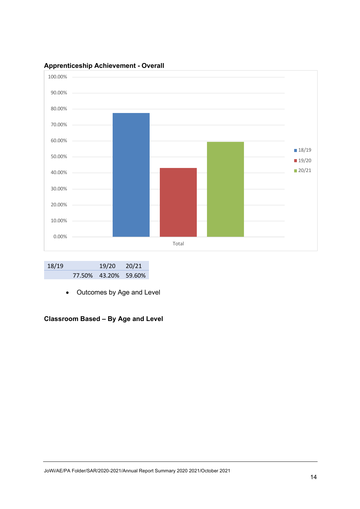

## **Apprenticeship Achievement - Overall**

| 18/19 | 19/20 20/21          |  |
|-------|----------------------|--|
|       | 77.50% 43.20% 59.60% |  |

• Outcomes by Age and Level

# **Classroom Based – By Age and Level**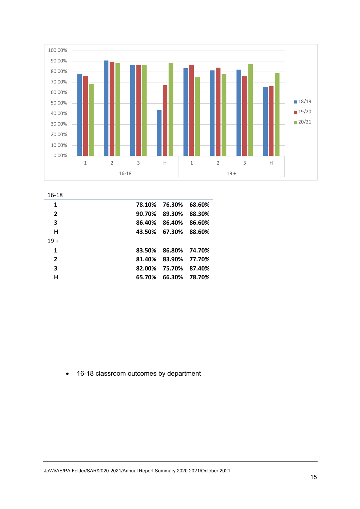

| 16-18          |        |               |        |
|----------------|--------|---------------|--------|
| 1              | 78.10% | 76.30%        | 68.60% |
| $\overline{2}$ | 90.70% | 89.30%        | 88.30% |
| 3              | 86.40% | 86.40%        | 86.60% |
| н              |        | 43.50% 67.30% | 88.60% |
| $19+$          |        |               |        |
| 1              | 83.50% | 86.80%        | 74.70% |
| $\overline{2}$ | 81.40% | 83.90%        | 77.70% |
| 3              | 82.00% | 75.70%        | 87.40% |
| н              | 65.70% | 66.30%        | 78.70% |

• 16-18 classroom outcomes by department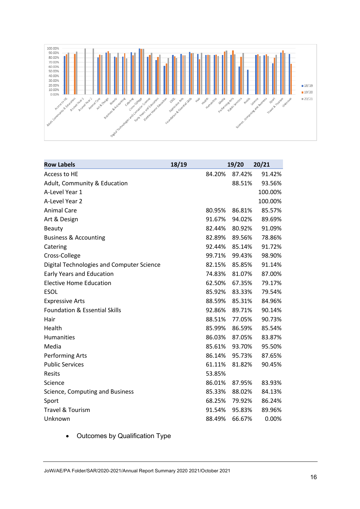

| <b>Row Labels</b>                         | 18/19  | 19/20  | 20/21   |
|-------------------------------------------|--------|--------|---------|
| Access to HE                              | 84.20% | 87.42% | 91.42%  |
| Adult, Community & Education              |        | 88.51% | 93.56%  |
| A-Level Year 1                            |        |        | 100.00% |
| A-Level Year 2                            |        |        | 100.00% |
| <b>Animal Care</b>                        | 80.95% | 86.81% | 85.57%  |
| Art & Design                              | 91.67% | 94.02% | 89.69%  |
| <b>Beauty</b>                             | 82.44% | 80.92% | 91.09%  |
| <b>Business &amp; Accounting</b>          | 82.89% | 89.56% | 78.86%  |
| Catering                                  | 92.44% | 85.14% | 91.72%  |
| Cross-College                             | 99.71% | 99.43% | 98.90%  |
| Digital Technologies and Computer Science | 82.15% | 85.85% | 91.14%  |
| Early Years and Education                 | 74.83% | 81.07% | 87.00%  |
| <b>Elective Home Education</b>            | 62.50% | 67.35% | 79.17%  |
| <b>ESOL</b>                               | 85.92% | 83.33% | 79.54%  |
| <b>Expressive Arts</b>                    | 88.59% | 85.31% | 84.96%  |
| <b>Foundation &amp; Essential Skills</b>  | 92.86% | 89.71% | 90.14%  |
| Hair                                      | 88.51% | 77.05% | 90.73%  |
| Health                                    | 85.99% | 86.59% | 85.54%  |
| <b>Humanities</b>                         | 86.03% | 87.05% | 83.87%  |
| Media                                     | 85.61% | 93.70% | 95.50%  |
| <b>Performing Arts</b>                    | 86.14% | 95.73% | 87.65%  |
| <b>Public Services</b>                    | 61.11% | 81.82% | 90.45%  |
| Resits                                    | 53.85% |        |         |
| Science                                   | 86.01% | 87.95% | 83.93%  |
| Science, Computing and Business           | 85.33% | 88.02% | 84.13%  |
| Sport                                     | 68.25% | 79.92% | 86.24%  |
| Travel & Tourism                          | 91.54% | 95.83% | 89.96%  |
| Unknown                                   | 88.49% | 66.67% | 0.00%   |

• Outcomes by Qualification Type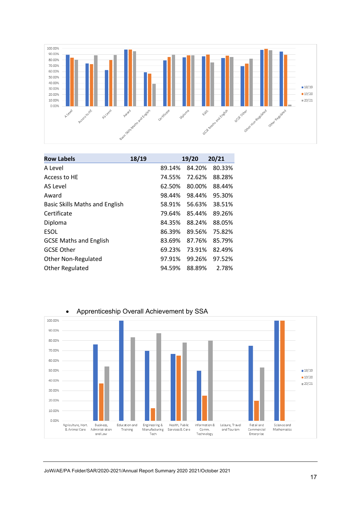

| <b>Row Labels</b>              | 18/19 |        | 19/20  | 20/21  |
|--------------------------------|-------|--------|--------|--------|
| A Level                        |       | 89.14% | 84.20% | 80.33% |
| Access to HE                   |       | 74.55% | 72.62% | 88.28% |
| AS Level                       |       | 62.50% | 80.00% | 88.44% |
| Award                          |       | 98.44% | 98.44% | 95.30% |
| Basic Skills Maths and English |       | 58.91% | 56.63% | 38.51% |
| Certificate                    |       | 79.64% | 85.44% | 89.26% |
| Diploma                        |       | 84.35% | 88.24% | 88.05% |
| <b>ESOL</b>                    |       | 86.39% | 89.56% | 75.82% |
| <b>GCSE Maths and English</b>  |       | 83.69% | 87.76% | 85.79% |
| <b>GCSE Other</b>              |       | 69.23% | 73.91% | 82.49% |
| <b>Other Non-Regulated</b>     |       | 97.91% | 99.26% | 97.52% |
| <b>Other Regulated</b>         |       | 94.59% | 88.89% | 2.78%  |

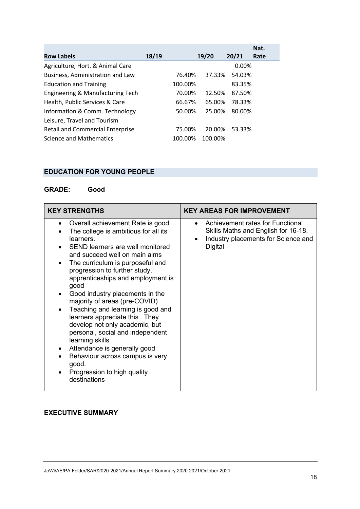|                                         |       |         |         |        | Nat. |
|-----------------------------------------|-------|---------|---------|--------|------|
| <b>Row Labels</b>                       | 18/19 |         | 19/20   | 20/21  | Rate |
| Agriculture, Hort. & Animal Care        |       |         |         | 0.00%  |      |
| Business, Administration and Law        |       | 76.40%  | 37.33%  | 54.03% |      |
| <b>Education and Training</b>           |       | 100.00% |         | 83.35% |      |
| Engineering & Manufacturing Tech        |       | 70.00%  | 12.50%  | 87.50% |      |
| Health, Public Services & Care          |       | 66.67%  | 65.00%  | 78.33% |      |
| Information & Comm. Technology          |       | 50.00%  | 25.00%  | 80.00% |      |
| Leisure, Travel and Tourism             |       |         |         |        |      |
| <b>Retail and Commercial Enterprise</b> |       | 75.00%  | 20.00%  | 53.33% |      |
| Science and Mathematics                 |       | 100.00% | 100.00% |        |      |

# **EDUCATION FOR YOUNG PEOPLE**

# **GRADE: Good**

| <b>KEY STRENGTHS</b>                                                                                                                                                                                                                                                                                                                                                                                                                                                                                                                                                                                                                                                            | <b>KEY AREAS FOR IMPROVEMENT</b>                                                                                                                    |
|---------------------------------------------------------------------------------------------------------------------------------------------------------------------------------------------------------------------------------------------------------------------------------------------------------------------------------------------------------------------------------------------------------------------------------------------------------------------------------------------------------------------------------------------------------------------------------------------------------------------------------------------------------------------------------|-----------------------------------------------------------------------------------------------------------------------------------------------------|
| Overall achievement Rate is good<br>٠<br>The college is ambitious for all its<br>learners.<br>SEND learners are well monitored<br>and succeed well on main aims<br>The curriculum is purposeful and<br>$\bullet$<br>progression to further study,<br>apprenticeships and employment is<br>good<br>Good industry placements in the<br>majority of areas (pre-COVID)<br>Teaching and learning is good and<br>$\bullet$<br>learners appreciate this. They<br>develop not only academic, but<br>personal, social and independent<br>learning skills<br>Attendance is generally good<br>٠<br>Behaviour across campus is very<br>good.<br>Progression to high quality<br>destinations | Achievement rates for Functional<br>$\bullet$<br>Skills Maths and English for 16-18.<br>Industry placements for Science and<br>$\bullet$<br>Digital |

# **EXECUTIVE SUMMARY**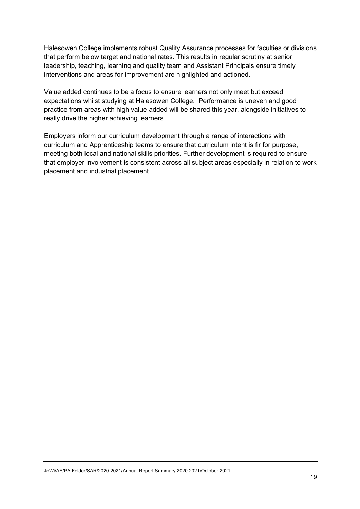Halesowen College implements robust Quality Assurance processes for faculties or divisions that perform below target and national rates. This results in regular scrutiny at senior leadership, teaching, learning and quality team and Assistant Principals ensure timely interventions and areas for improvement are highlighted and actioned.

Value added continues to be a focus to ensure learners not only meet but exceed expectations whilst studying at Halesowen College. Performance is uneven and good practice from areas with high value-added will be shared this year, alongside initiatives to really drive the higher achieving learners.

Employers inform our curriculum development through a range of interactions with curriculum and Apprenticeship teams to ensure that curriculum intent is fir for purpose, meeting both local and national skills priorities. Further development is required to ensure that employer involvement is consistent across all subject areas especially in relation to work placement and industrial placement.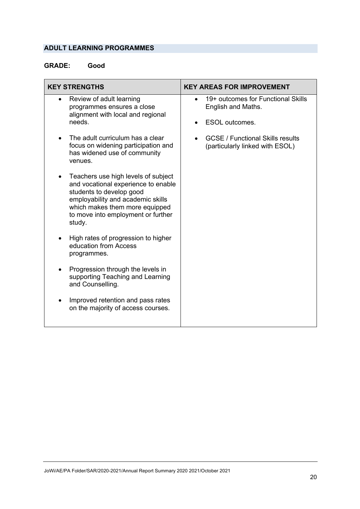# **ADULT LEARNING PROGRAMMES**

# **GRADE: Good**

| <b>KEY STRENGTHS</b>                                                                                                                                                                                                          | <b>KEY AREAS FOR IMPROVEMENT</b>                                                  |
|-------------------------------------------------------------------------------------------------------------------------------------------------------------------------------------------------------------------------------|-----------------------------------------------------------------------------------|
| Review of adult learning<br>programmes ensures a close<br>alignment with local and regional<br>needs.                                                                                                                         | 19+ outcomes for Functional Skills<br>English and Maths.<br><b>ESOL</b> outcomes. |
| The adult curriculum has a clear<br>focus on widening participation and<br>has widened use of community<br>venues.                                                                                                            | <b>GCSE / Functional Skills results</b><br>(particularly linked with ESOL)        |
| Teachers use high levels of subject<br>and vocational experience to enable<br>students to develop good<br>employability and academic skills<br>which makes them more equipped<br>to move into employment or further<br>study. |                                                                                   |
| High rates of progression to higher<br>education from Access<br>programmes.                                                                                                                                                   |                                                                                   |
| Progression through the levels in<br>supporting Teaching and Learning<br>and Counselling.                                                                                                                                     |                                                                                   |
| Improved retention and pass rates<br>on the majority of access courses.                                                                                                                                                       |                                                                                   |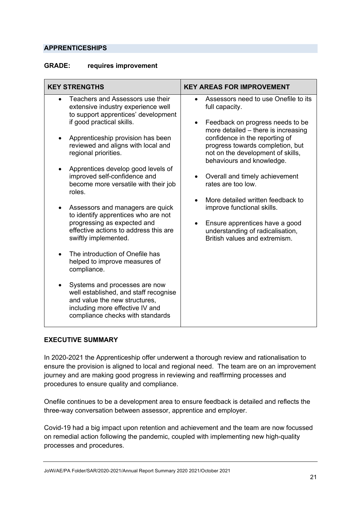## **APPRENTICESHIPS**

## **GRADE: requires improvement**

| <b>KEY STRENGTHS</b>                                                                                                                                                                                                                                                                                                                                                                                                                                                                                                                                                                                                                                                                                                                                                                                                               | <b>KEY AREAS FOR IMPROVEMENT</b>                                                                                                                                                                                                                                                                                                                                                                                                                                                                                                                   |
|------------------------------------------------------------------------------------------------------------------------------------------------------------------------------------------------------------------------------------------------------------------------------------------------------------------------------------------------------------------------------------------------------------------------------------------------------------------------------------------------------------------------------------------------------------------------------------------------------------------------------------------------------------------------------------------------------------------------------------------------------------------------------------------------------------------------------------|----------------------------------------------------------------------------------------------------------------------------------------------------------------------------------------------------------------------------------------------------------------------------------------------------------------------------------------------------------------------------------------------------------------------------------------------------------------------------------------------------------------------------------------------------|
| Teachers and Assessors use their<br>extensive industry experience well<br>to support apprentices' development<br>if good practical skills.<br>Apprenticeship provision has been<br>reviewed and aligns with local and<br>regional priorities.<br>Apprentices develop good levels of<br>improved self-confidence and<br>become more versatile with their job<br>roles.<br>Assessors and managers are quick<br>to identify apprentices who are not<br>progressing as expected and<br>effective actions to address this are<br>swiftly implemented.<br>The introduction of Onefile has<br>$\bullet$<br>helped to improve measures of<br>compliance.<br>Systems and processes are now<br>well established, and staff recognise<br>and value the new structures,<br>including more effective IV and<br>compliance checks with standards | Assessors need to use Onefile to its<br>full capacity.<br>Feedback on progress needs to be<br>$\bullet$<br>more detailed - there is increasing<br>confidence in the reporting of<br>progress towards completion, but<br>not on the development of skills,<br>behaviours and knowledge.<br>Overall and timely achievement<br>$\bullet$<br>rates are too low.<br>More detailed written feedback to<br>improve functional skills.<br>Ensure apprentices have a good<br>$\bullet$<br>understanding of radicalisation,<br>British values and extremism. |

## **EXECUTIVE SUMMARY**

In 2020-2021 the Apprenticeship offer underwent a thorough review and rationalisation to ensure the provision is aligned to local and regional need. The team are on an improvement journey and are making good progress in reviewing and reaffirming processes and procedures to ensure quality and compliance.

Onefile continues to be a development area to ensure feedback is detailed and reflects the three-way conversation between assessor, apprentice and employer.

Covid-19 had a big impact upon retention and achievement and the team are now focussed on remedial action following the pandemic, coupled with implementing new high-quality processes and procedures.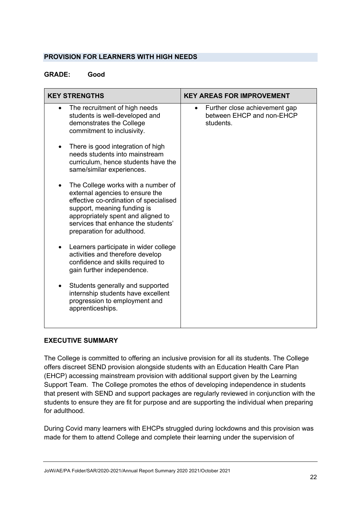## **PROVISION FOR LEARNERS WITH HIGH NEEDS**

## **GRADE: Good**

| <b>KEY STRENGTHS</b>                                                                                                                                                                                                                                           | <b>KEY AREAS FOR IMPROVEMENT</b>                                                     |
|----------------------------------------------------------------------------------------------------------------------------------------------------------------------------------------------------------------------------------------------------------------|--------------------------------------------------------------------------------------|
| The recruitment of high needs<br>$\bullet$<br>students is well-developed and<br>demonstrates the College<br>commitment to inclusivity.                                                                                                                         | Further close achievement gap<br>$\bullet$<br>between EHCP and non-EHCP<br>students. |
| There is good integration of high<br>٠<br>needs students into mainstream<br>curriculum, hence students have the<br>same/similar experiences.                                                                                                                   |                                                                                      |
| The College works with a number of<br>٠<br>external agencies to ensure the<br>effective co-ordination of specialised<br>support, meaning funding is<br>appropriately spent and aligned to<br>services that enhance the students'<br>preparation for adulthood. |                                                                                      |
| Learners participate in wider college<br>٠<br>activities and therefore develop<br>confidence and skills required to<br>gain further independence.                                                                                                              |                                                                                      |
| Students generally and supported<br>internship students have excellent<br>progression to employment and<br>apprenticeships.                                                                                                                                    |                                                                                      |

## **EXECUTIVE SUMMARY**

The College is committed to offering an inclusive provision for all its students. The College offers discreet SEND provision alongside students with an Education Health Care Plan (EHCP) accessing mainstream provision with additional support given by the Learning Support Team. The College promotes the ethos of developing independence in students that present with SEND and support packages are regularly reviewed in conjunction with the students to ensure they are fit for purpose and are supporting the individual when preparing for adulthood.

During Covid many learners with EHCPs struggled during lockdowns and this provision was made for them to attend College and complete their learning under the supervision of